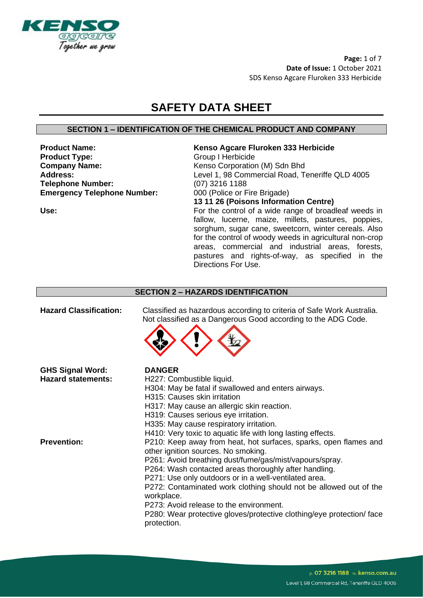

**Page:** 1 of 7 **Date of Issue:** 1 October 2021 SDS Kenso Agcare Fluroken 333 Herbicide

# **SAFETY DATA SHEET**

# **SECTION 1 – IDENTIFICATION OF THE CHEMICAL PRODUCT AND COMPANY**

**Product Name: Kenso Agcare Fluroken 333 Herbicide Product Type:** Group I Herbicide **Company Name:** Kenso Corporation (M) Sdn Bhd<br> **Address:** Level 1, 98 Commercial Road, To **Telephone Number:** (07) 3216 1188<br> **Emergency Telephone Number:** 000 (Police or Fire Brigade) **Emergency Telephone Number:** 

Level 1, 98 Commercial Road, Teneriffe QLD 4005 **13 11 26 (Poisons Information Centre)**

Use: Use: **For the control of a wide range of broadleaf weeds in** fallow, lucerne, maize, millets, pastures, poppies, sorghum, sugar cane, sweetcorn, winter cereals. Also for the control of woody weeds in agricultural non-crop areas, commercial and industrial areas, forests, pastures and rights-of-way, as specified in the Directions For Use.

#### **SECTION 2 – HAZARDS IDENTIFICATION**

| <b>Hazard Classification:</b>                        | Classified as hazardous according to criteria of Safe Work Australia.<br>Not classified as a Dangerous Good according to the ADG Code.                                                                                                                                                                                                                                                                                                                                                                     |
|------------------------------------------------------|------------------------------------------------------------------------------------------------------------------------------------------------------------------------------------------------------------------------------------------------------------------------------------------------------------------------------------------------------------------------------------------------------------------------------------------------------------------------------------------------------------|
| <b>GHS Signal Word:</b><br><b>Hazard statements:</b> | <b>DANGER</b><br>H227: Combustible liquid.<br>H304: May be fatal if swallowed and enters airways.<br>H315: Causes skin irritation<br>H317: May cause an allergic skin reaction.<br>H319: Causes serious eye irritation.<br>H335: May cause respiratory irritation.<br>H410: Very toxic to aquatic life with long lasting effects.                                                                                                                                                                          |
| <b>Prevention:</b>                                   | P210: Keep away from heat, hot surfaces, sparks, open flames and<br>other ignition sources. No smoking.<br>P261: Avoid breathing dust/fume/gas/mist/vapours/spray.<br>P264: Wash contacted areas thoroughly after handling.<br>P271: Use only outdoors or in a well-ventilated area.<br>P272: Contaminated work clothing should not be allowed out of the<br>workplace.<br>P273: Avoid release to the environment.<br>P280: Wear protective gloves/protective clothing/eye protection/ face<br>protection. |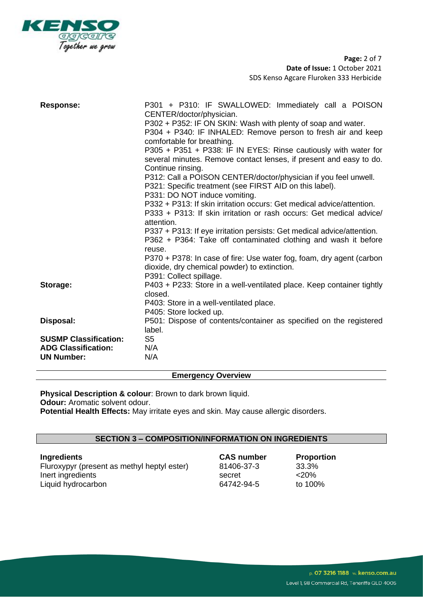

**Page:** 2 of 7 **Date of Issue:** 1 October 2021 SDS Kenso Agcare Fluroken 333 Herbicide

| <b>Response:</b>             | P301 + P310: IF SWALLOWED: Immediately call a POISON<br>CENTER/doctor/physician.<br>P302 + P352: IF ON SKIN: Wash with plenty of soap and water.<br>P304 + P340: IF INHALED: Remove person to fresh air and keep<br>comfortable for breathing.<br>P305 + P351 + P338: IF IN EYES: Rinse cautiously with water for<br>several minutes. Remove contact lenses, if present and easy to do.<br>Continue rinsing.<br>P312: Call a POISON CENTER/doctor/physician if you feel unwell.<br>P321: Specific treatment (see FIRST AID on this label).<br>P331: DO NOT induce vomiting.<br>P332 + P313: If skin irritation occurs: Get medical advice/attention.<br>P333 + P313: If skin irritation or rash occurs: Get medical advice/<br>attention.<br>P337 + P313: If eye irritation persists: Get medical advice/attention.<br>P362 + P364: Take off contaminated clothing and wash it before<br>reuse.<br>P370 + P378: In case of fire: Use water fog, foam, dry agent (carbon<br>dioxide, dry chemical powder) to extinction.<br>P391: Collect spillage. |
|------------------------------|----------------------------------------------------------------------------------------------------------------------------------------------------------------------------------------------------------------------------------------------------------------------------------------------------------------------------------------------------------------------------------------------------------------------------------------------------------------------------------------------------------------------------------------------------------------------------------------------------------------------------------------------------------------------------------------------------------------------------------------------------------------------------------------------------------------------------------------------------------------------------------------------------------------------------------------------------------------------------------------------------------------------------------------------------|
| Storage:                     | P403 + P233: Store in a well-ventilated place. Keep container tightly<br>closed.<br>P403: Store in a well-ventilated place.<br>P405: Store locked up.                                                                                                                                                                                                                                                                                                                                                                                                                                                                                                                                                                                                                                                                                                                                                                                                                                                                                              |
| Disposal:                    | P501: Dispose of contents/container as specified on the registered<br>label.                                                                                                                                                                                                                                                                                                                                                                                                                                                                                                                                                                                                                                                                                                                                                                                                                                                                                                                                                                       |
| <b>SUSMP Classification:</b> | S <sub>5</sub>                                                                                                                                                                                                                                                                                                                                                                                                                                                                                                                                                                                                                                                                                                                                                                                                                                                                                                                                                                                                                                     |
| <b>ADG Classification:</b>   | N/A                                                                                                                                                                                                                                                                                                                                                                                                                                                                                                                                                                                                                                                                                                                                                                                                                                                                                                                                                                                                                                                |
| <b>UN Number:</b>            | N/A                                                                                                                                                                                                                                                                                                                                                                                                                                                                                                                                                                                                                                                                                                                                                                                                                                                                                                                                                                                                                                                |

## **Emergency Overview**

**Physical Description & colour**: Brown to dark brown liquid. **Odour:** Aromatic solvent odour. **Potential Health Effects:** May irritate eyes and skin. May cause allergic disorders.

# **SECTION 3 – COMPOSITION/INFORMATION ON INGREDIENTS**

| <b>Ingredients</b>                          | <b>CAS number</b> | <b>Proportion</b> |
|---------------------------------------------|-------------------|-------------------|
| Fluroxypyr (present as methyl heptyl ester) | 81406-37-3        | 33.3%             |
| Inert ingredients                           | secret            | $<$ 20%           |
| Liquid hydrocarbon                          | 64742-94-5        | to 100%           |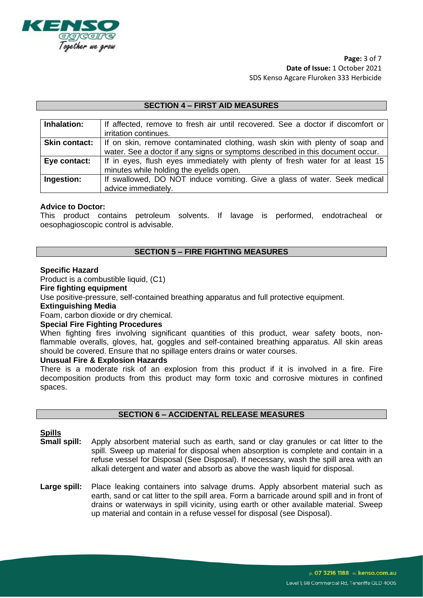

**Page:** 3 of 7 **Date of Issue:** 1 October 2021 SDS Kenso Agcare Fluroken 333 Herbicide

### **SECTION 4 – FIRST AID MEASURES**

| Inhalation:          | If affected, remove to fresh air until recovered. See a doctor if discomfort or |
|----------------------|---------------------------------------------------------------------------------|
|                      | irritation continues.                                                           |
| <b>Skin contact:</b> | If on skin, remove contaminated clothing, wash skin with plenty of soap and     |
|                      | water. See a doctor if any signs or symptoms described in this document occur.  |
| Eye contact:         | If in eyes, flush eyes immediately with plenty of fresh water for at least 15   |
|                      | minutes while holding the eyelids open.                                         |
| Ingestion:           | If swallowed, DO NOT induce vomiting. Give a glass of water. Seek medical       |
|                      | advice immediately.                                                             |

#### **Advice to Doctor:**

This product contains petroleum solvents. If lavage is performed, endotracheal or oesophagioscopic control is advisable.

# **SECTION 5 – FIRE FIGHTING MEASURES**

#### **Specific Hazard**

Product is a combustible liquid, (C1)

#### **Fire fighting equipment**

Use positive-pressure, self-contained breathing apparatus and full protective equipment.

#### **Extinguishing Media**

Foam, carbon dioxide or dry chemical.

#### **Special Fire Fighting Procedures**

When fighting fires involving significant quantities of this product, wear safety boots, nonflammable overalls, gloves, hat, goggles and self-contained breathing apparatus. All skin areas should be covered. Ensure that no spillage enters drains or water courses.

#### **Unusual Fire & Explosion Hazards**

There is a moderate risk of an explosion from this product if it is involved in a fire. Fire decomposition products from this product may form toxic and corrosive mixtures in confined spaces.

#### **SECTION 6 – ACCIDENTAL RELEASE MEASURES**

#### **Spills**

- **Small spill:** Apply absorbent material such as earth, sand or clay granules or cat litter to the spill. Sweep up material for disposal when absorption is complete and contain in a refuse vessel for Disposal (See Disposal). If necessary, wash the spill area with an alkali detergent and water and absorb as above the wash liquid for disposal.
- Large spill: Place leaking containers into salvage drums. Apply absorbent material such as earth, sand or cat litter to the spill area. Form a barricade around spill and in front of drains or waterways in spill vicinity, using earth or other available material. Sweep up material and contain in a refuse vessel for disposal (see Disposal).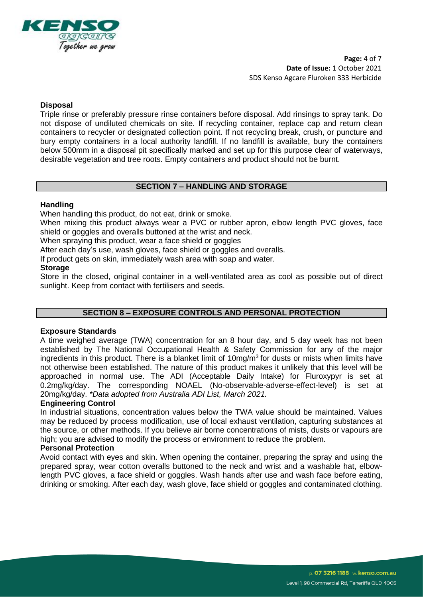

**Page:** 4 of 7 **Date of Issue:** 1 October 2021 SDS Kenso Agcare Fluroken 333 Herbicide

### **Disposal**

Triple rinse or preferably pressure rinse containers before disposal. Add rinsings to spray tank. Do not dispose of undiluted chemicals on site. If recycling container, replace cap and return clean containers to recycler or designated collection point. If not recycling break, crush, or puncture and bury empty containers in a local authority landfill. If no landfill is available, bury the containers below 500mm in a disposal pit specifically marked and set up for this purpose clear of waterways, desirable vegetation and tree roots. Empty containers and product should not be burnt.

# **SECTION 7 – HANDLING AND STORAGE**

#### **Handling**

When handling this product, do not eat, drink or smoke.

When mixing this product always wear a PVC or rubber apron, elbow length PVC gloves, face shield or goggles and overalls buttoned at the wrist and neck.

When spraying this product, wear a face shield or goggles

After each day's use, wash gloves, face shield or goggles and overalls.

If product gets on skin, immediately wash area with soap and water.

#### **Storage**

Store in the closed, original container in a well-ventilated area as cool as possible out of direct sunlight. Keep from contact with fertilisers and seeds.

#### **SECTION 8 – EXPOSURE CONTROLS AND PERSONAL PROTECTION**

#### **Exposure Standards**

A time weighed average (TWA) concentration for an 8 hour day, and 5 day week has not been established by The National Occupational Health & Safety Commission for any of the major ingredients in this product. There is a blanket limit of  $10\,\text{mg/m}^3$  for dusts or mists when limits have not otherwise been established. The nature of this product makes it unlikely that this level will be approached in normal use. The ADI (Acceptable Daily Intake) for Fluroxypyr is set at 0.2mg/kg/day. The corresponding NOAEL (No-observable-adverse-effect-level) is set at 20mg/kg/day. *\*Data adopted from Australia ADI List, March 2021.*

### **Engineering Control**

In industrial situations, concentration values below the TWA value should be maintained. Values may be reduced by process modification, use of local exhaust ventilation, capturing substances at the source, or other methods. If you believe air borne concentrations of mists, dusts or vapours are high; you are advised to modify the process or environment to reduce the problem.

# **Personal Protection**

Avoid contact with eyes and skin. When opening the container, preparing the spray and using the prepared spray, wear cotton overalls buttoned to the neck and wrist and a washable hat, elbowlength PVC gloves, a face shield or goggles. Wash hands after use and wash face before eating, drinking or smoking. After each day, wash glove, face shield or goggles and contaminated clothing.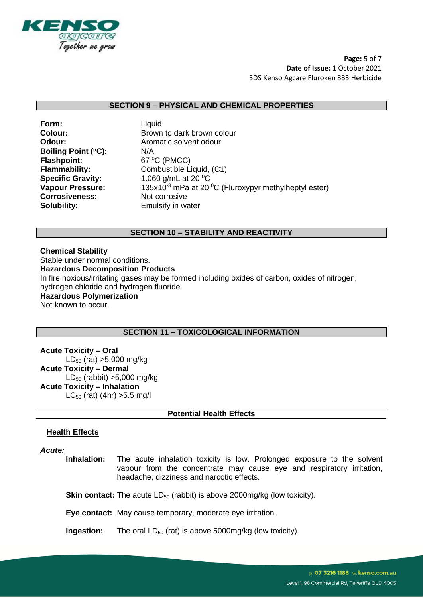

**Page:** 5 of 7 **Date of Issue:** 1 October 2021 SDS Kenso Agcare Fluroken 333 Herbicide

#### **SECTION 9 – PHYSICAL AND CHEMICAL PROPERTIES**

**Form:** Liquid **Boiling Point (°C):** N/A **Flashpoint:** 67 °C (PMCC) **Corrosiveness:** Not corrosive **Solubility:** Emulsify in water

**Colour:** Brown to dark brown colour **Odour:** Aromatic solvent odour **Flammability:** Combustible Liquid, (C1) **Specific Gravity:** 1.060 g/mL at 20 <sup>o</sup>C **Vapour Pressure:** 135x10<sup>-3</sup> mPa at 20 <sup>o</sup>C (Fluroxypyr methylheptyl ester)

# **SECTION 10 – STABILITY AND REACTIVITY**

**Chemical Stability**  Stable under normal conditions. **Hazardous Decomposition Products**  In fire noxious/irritating gases may be formed including oxides of carbon, oxides of nitrogen, hydrogen chloride and hydrogen fluoride. **Hazardous Polymerization** Not known to occur.

# **SECTION 11 – TOXICOLOGICAL INFORMATION**

**Acute Toxicity – Oral**   $LD_{50}$  (rat) >5,000 mg/kg **Acute Toxicity – Dermal**  $LD_{50}$  (rabbit) >5,000 mg/kg **Acute Toxicity – Inhalation**  $LC_{50}$  (rat) (4hr) > 5.5 mg/l

# **Potential Health Effects**

# **Health Effects**

*Acute:*

**Inhalation:** The acute inhalation toxicity is low. Prolonged exposure to the solvent vapour from the concentrate may cause eye and respiratory irritation, headache, dizziness and narcotic effects.

**Skin contact:** The acute LD<sub>50</sub> (rabbit) is above 2000mg/kg (low toxicity).

**Eye contact:** May cause temporary, moderate eye irritation.

**Ingestion:** The oral LD<sub>50</sub> (rat) is above 5000mg/kg (low toxicity).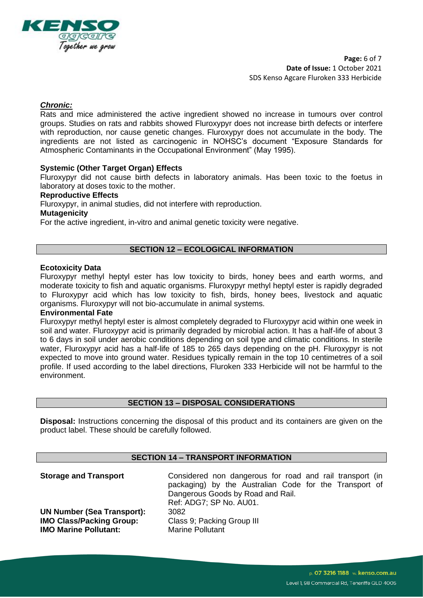

**Page:** 6 of 7 **Date of Issue:** 1 October 2021 SDS Kenso Agcare Fluroken 333 Herbicide

# *Chronic:*

Rats and mice administered the active ingredient showed no increase in tumours over control groups. Studies on rats and rabbits showed Fluroxypyr does not increase birth defects or interfere with reproduction, nor cause genetic changes. Fluroxypyr does not accumulate in the body. The ingredients are not listed as carcinogenic in NOHSC's document "Exposure Standards for Atmospheric Contaminants in the Occupational Environment" (May 1995).

### **Systemic (Other Target Organ) Effects**

Fluroxypyr did not cause birth defects in laboratory animals. Has been toxic to the foetus in laboratory at doses toxic to the mother.

#### **Reproductive Effects**

Fluroxypyr, in animal studies, did not interfere with reproduction.

#### **Mutagenicity**

For the active ingredient, in-vitro and animal genetic toxicity were negative.

### **SECTION 12 – ECOLOGICAL INFORMATION**

#### **Ecotoxicity Data**

Fluroxypyr methyl heptyl ester has low toxicity to birds, honey bees and earth worms, and moderate toxicity to fish and aquatic organisms. Fluroxypyr methyl heptyl ester is rapidly degraded to Fluroxypyr acid which has low toxicity to fish, birds, honey bees, livestock and aquatic organisms. Fluroxypyr will not bio-accumulate in animal systems.

# **Environmental Fate**

Fluroxypyr methyl heptyl ester is almost completely degraded to Fluroxypyr acid within one week in soil and water. Fluroxypyr acid is primarily degraded by microbial action. It has a half-life of about 3 to 6 days in soil under aerobic conditions depending on soil type and climatic conditions. In sterile water, Fluroxypyr acid has a half-life of 185 to 265 days depending on the pH. Fluroxypyr is not expected to move into ground water. Residues typically remain in the top 10 centimetres of a soil profile. If used according to the label directions, Fluroken 333 Herbicide will not be harmful to the environment.

#### **SECTION 13 – DISPOSAL CONSIDERATIONS**

**Disposal:** Instructions concerning the disposal of this product and its containers are given on the product label. These should be carefully followed.

# **SECTION 14 – TRANSPORT INFORMATION**

**UN Number (Sea Transport):** 3082 **IMO Class/Packing Group:** Class 9; Packing Group III **IMO Marine Pollutant:** Marine Pollutant

**Storage and Transport Considered non dangerous for road and rail transport (in** packaging) by the Australian Code for the Transport of Dangerous Goods by Road and Rail. Ref: ADG7; SP No. AU01.